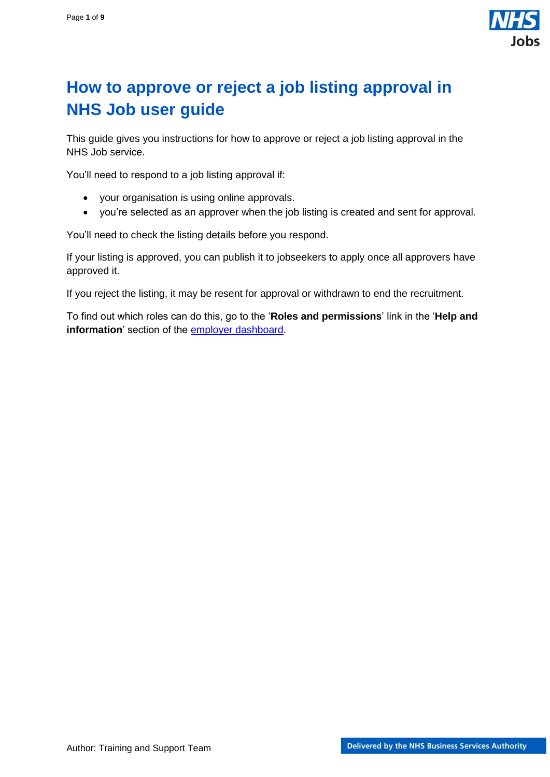

# <span id="page-0-0"></span>**How to approve or reject a job listing approval in NHS Job user guide**

This guide gives you instructions for how to approve or reject a job listing approval in the NHS Job service.

You'll need to respond to a job listing approval if:

- your organisation is using online approvals.
- you're selected as an approver when the job listing is created and sent for approval.

You'll need to check the listing details before you respond.

If your listing is approved, you can publish it to jobseekers to apply once all approvers have approved it.

If you reject the listing, it may be resent for approval or withdrawn to end the recruitment.

To find out which roles can do this, go to the '**Roles and permissions**' link in the '**Help and information**' section of the **employer dashboard**.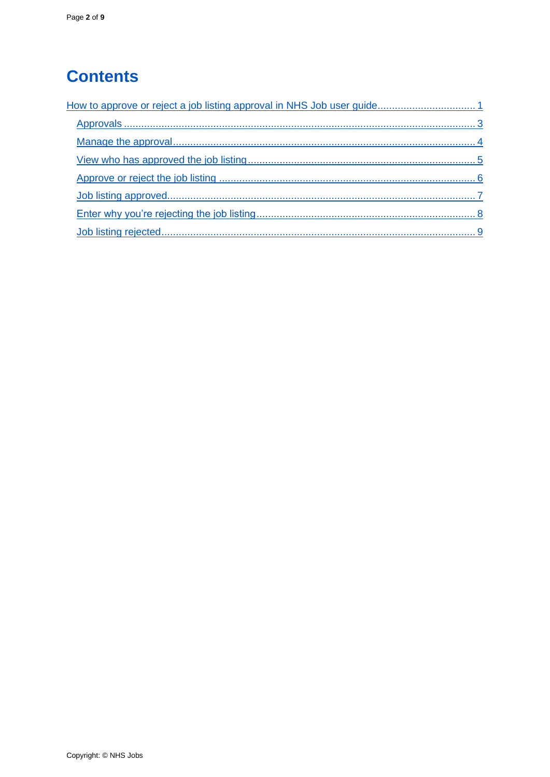# **Contents**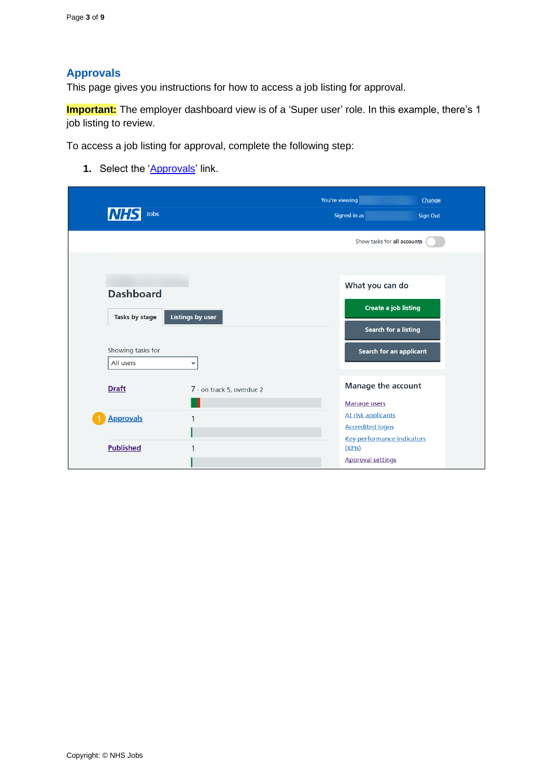### <span id="page-2-0"></span>**Approvals**

This page gives you instructions for how to access a job listing for approval.

**Important:** The employer dashboard view is of a 'Super user' role. In this example, there's 1 job listing to review.

To access a job listing for approval, complete the following step:

**1.** Select the '**Approvals'** link.

| <b>NHS</b><br>Jobs             |                           | You're viewing<br>Signed in as                                          | Change<br><b>Sign Out</b> |
|--------------------------------|---------------------------|-------------------------------------------------------------------------|---------------------------|
|                                |                           | Show tasks for all accounts                                             |                           |
| <b>Dashboard</b>               |                           | What you can do                                                         |                           |
| Tasks by stage                 | <b>Listings by user</b>   | <b>Create a job listing</b><br><b>Search for a listing</b>              |                           |
| Showing tasks for<br>All users | $\check{ }$               | <b>Search for an applicant</b>                                          |                           |
| <b>Draft</b>                   | 7 - on track 5, overdue 2 | <b>Manage the account</b>                                               |                           |
| <b>Approvals</b>               | 1                         | <b>Manage users</b><br>At risk applicants<br><b>Accredited logos</b>    |                           |
| <b>Published</b>               | 1                         | <b>Key performance indicators</b><br>(KPIs)<br><b>Approval settings</b> |                           |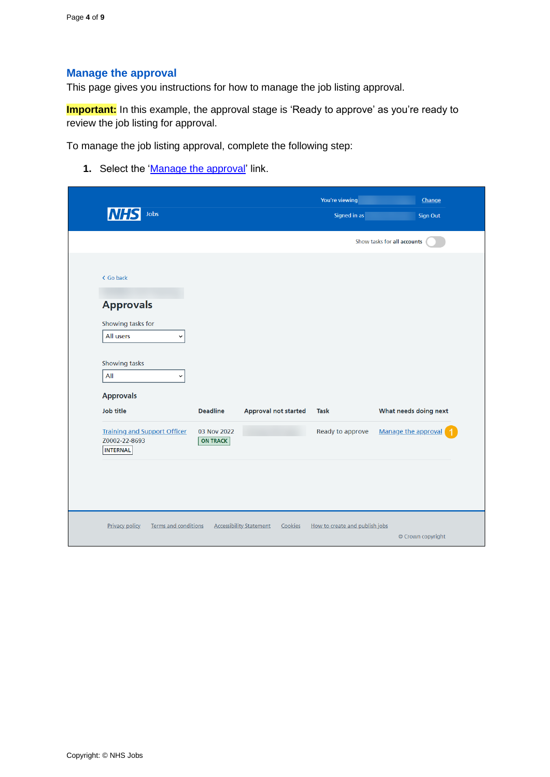### <span id="page-3-0"></span>**Manage the approval**

This page gives you instructions for how to manage the job listing approval.

**Important:** In this example, the approval stage is 'Ready to approve' as you're ready to review the job listing for approval.

To manage the job listing approval, complete the following step:

**1.** Select the ['Manage the approval'](#page-4-0) link.

| Jobs<br><b>NHS</b>                                                                                                     |                                                   |                                           | You're viewing<br>Signed in as  | Change<br>Sign Out                           |
|------------------------------------------------------------------------------------------------------------------------|---------------------------------------------------|-------------------------------------------|---------------------------------|----------------------------------------------|
|                                                                                                                        |                                                   |                                           |                                 | Show tasks for all accounts                  |
| < Go back<br><b>Approvals</b><br>Showing tasks for<br>All users<br>$\checkmark$<br>Showing tasks<br>All<br>$\check{~}$ |                                                   |                                           |                                 |                                              |
| <b>Approvals</b><br><b>Job title</b><br><b>Training and Support Officer</b><br>Z0002-22-8693<br><b>INTERNAL</b>        | <b>Deadline</b><br>03 Nov 2022<br><b>ON TRACK</b> | <b>Approval not started</b>               | <b>Task</b><br>Ready to approve | What needs doing next<br>Manage the approval |
| <b>Privacy policy</b><br><b>Terms and conditions</b>                                                                   |                                                   | <b>Accessibility Statement</b><br>Cookies | How to create and publish jobs  | © Crown copyright                            |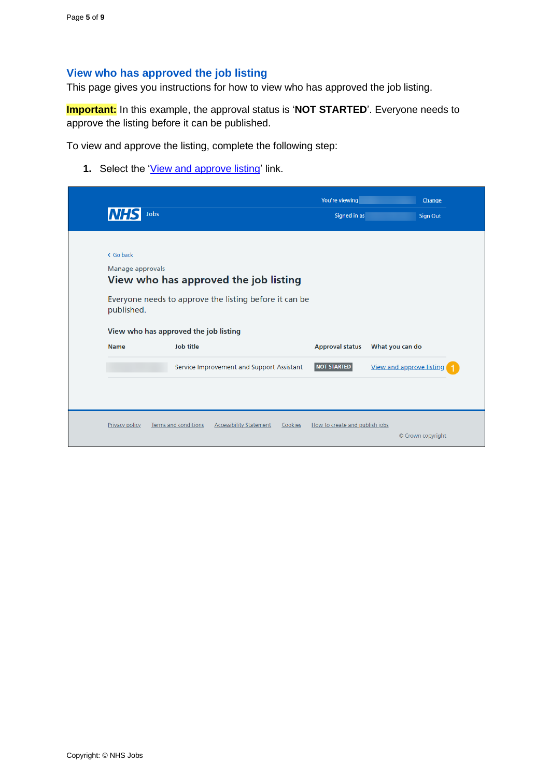### <span id="page-4-0"></span>**View who has approved the job listing**

This page gives you instructions for how to view who has approved the job listing.

**Important:** In this example, the approval status is '**NOT STARTED**'. Everyone needs to approve the listing before it can be published.

To view and approve the listing, complete the following step:

**1.** Select the ['View and approve listing'](#page-5-0) link.

| <b>NH</b>        |                                                        | You're viewing         | Change                   |
|------------------|--------------------------------------------------------|------------------------|--------------------------|
|                  | Jobs                                                   | Signed in as           | <b>Sign Out</b>          |
| < Go back        |                                                        |                        |                          |
| Manage approvals | View who has approved the job listing                  |                        |                          |
| published.       | Everyone needs to approve the listing before it can be |                        |                          |
|                  | View who has approved the job listing                  |                        |                          |
| <b>Name</b>      | <b>Job title</b>                                       | <b>Approval status</b> | What you can do          |
|                  | Service Improvement and Support Assistant              | <b>NOT STARTED</b>     | View and approve listing |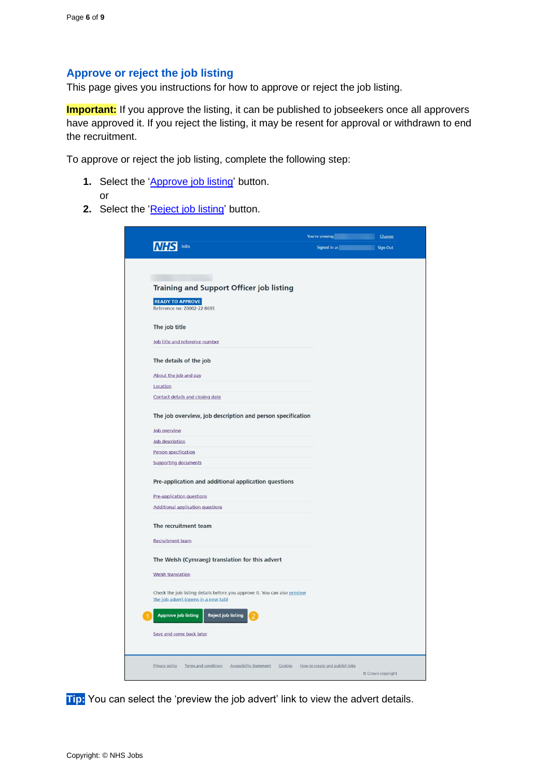#### <span id="page-5-0"></span>**Approve or reject the job listing**

This page gives you instructions for how to approve or reject the job listing.

**Important:** If you approve the listing, it can be published to jobseekers once all approvers have approved it. If you reject the listing, it may be resent for approval or withdrawn to end the recruitment.

To approve or reject the job listing, complete the following step:

- **1.** Select the ['Approve job listing'](#page-6-0) button. or
- 2. Select the ['Reject job listing'](#page-8-0) button.

| Jobs                                                                                                             | You're viewing a state of the Change | Signed in as <b>Signed in as Signed in as Signed in as Signed Allen</b> |
|------------------------------------------------------------------------------------------------------------------|--------------------------------------|-------------------------------------------------------------------------|
|                                                                                                                  |                                      |                                                                         |
|                                                                                                                  |                                      |                                                                         |
| <b>Training and Support Officer job listing</b>                                                                  |                                      |                                                                         |
| <b>READY TO APPROVE</b><br>Reference no: Z0002-22-8693                                                           |                                      |                                                                         |
| The job title                                                                                                    |                                      |                                                                         |
| Job title and reference number                                                                                   |                                      |                                                                         |
| The details of the job                                                                                           |                                      |                                                                         |
| About the job and pay                                                                                            |                                      |                                                                         |
| Location                                                                                                         |                                      |                                                                         |
| Contact details and closing date                                                                                 |                                      |                                                                         |
| The job overview, job description and person specification                                                       |                                      |                                                                         |
| Job overview                                                                                                     |                                      |                                                                         |
| Job description                                                                                                  |                                      |                                                                         |
| Person specification                                                                                             |                                      |                                                                         |
| <b>Supporting documents</b>                                                                                      |                                      |                                                                         |
| Pre-application and additional application questions                                                             |                                      |                                                                         |
| Pre-application questions                                                                                        |                                      |                                                                         |
| <b>Additional application questions</b>                                                                          |                                      |                                                                         |
| The recruitment team                                                                                             |                                      |                                                                         |
| <b>Recruitment team</b>                                                                                          |                                      |                                                                         |
| The Welsh (Cymraeg) translation for this advert                                                                  |                                      |                                                                         |
| <b>Welsh translation</b>                                                                                         |                                      |                                                                         |
| Check the job listing details before you approve it. You can also preview<br>the job advert (opens in a new tab) |                                      |                                                                         |
| <b>Approve job listing</b><br><b>Reject job listing</b>                                                          |                                      |                                                                         |
| Save and come back later                                                                                         |                                      |                                                                         |
|                                                                                                                  |                                      |                                                                         |
| Privacy policy<br>Terms and conditions Accessibility Statement Cookies                                           | How to create and publish jobs       |                                                                         |

**Tip:** You can select the 'preview the job advert' link to view the advert details.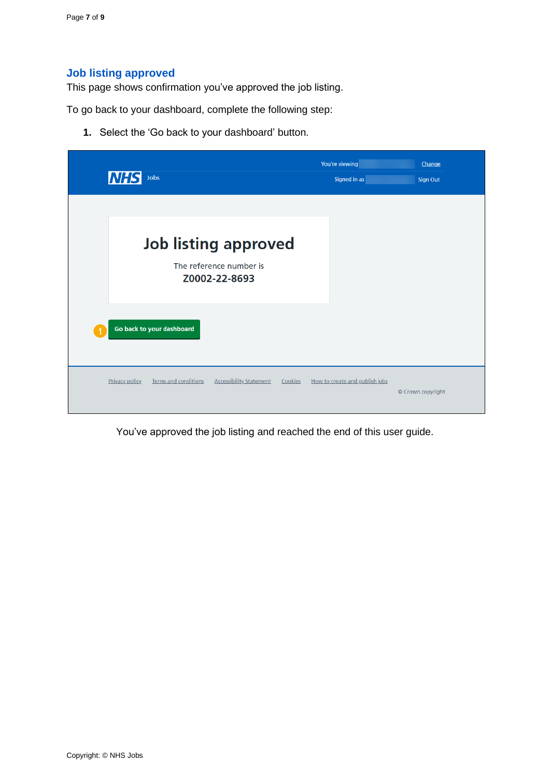## <span id="page-6-0"></span>**Job listing approved**

This page shows confirmation you've approved the job listing.

To go back to your dashboard, complete the following step:

**1.** Select the 'Go back to your dashboard' button.

| <b>NHS</b><br>Jobs                                                                         | You're viewing<br>Signed in as | Change<br><b>Sign Out</b> |
|--------------------------------------------------------------------------------------------|--------------------------------|---------------------------|
|                                                                                            |                                |                           |
| <b>Job listing approved</b>                                                                |                                |                           |
| The reference number is<br>Z0002-22-8693                                                   |                                |                           |
|                                                                                            |                                |                           |
| Go back to your dashboard                                                                  |                                |                           |
| Terms and conditions<br><b>Privacy policy</b><br><b>Accessibility Statement</b><br>Cookies | How to create and publish jobs | © Crown copyright         |
|                                                                                            |                                |                           |

You've approved the job listing and reached the end of this user guide.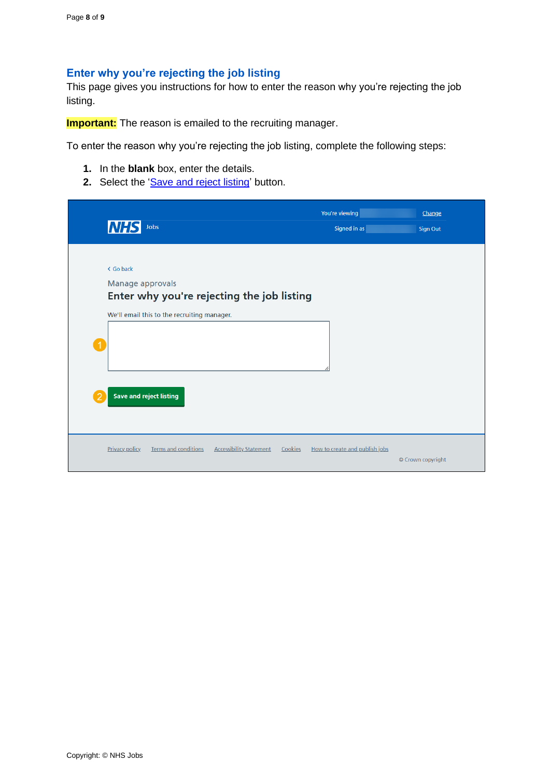### <span id="page-7-0"></span>**Enter why you're rejecting the job listing**

This page gives you instructions for how to enter the reason why you're rejecting the job listing.

**Important:** The reason is emailed to the recruiting manager.

To enter the reason why you're rejecting the job listing, complete the following steps:

- **1.** In the **blank** box, enter the details.
- 2. Select the ['Save and reject listing'](#page-8-0) button.

|                      | <b>NHS</b><br>Jobs                                                                                                                                           | You're viewing<br>Signed in as | Change<br><b>Sign Out</b> |
|----------------------|--------------------------------------------------------------------------------------------------------------------------------------------------------------|--------------------------------|---------------------------|
| $\blacktriangleleft$ | < Go back<br>Manage approvals<br>Enter why you're rejecting the job listing<br>We'll email this to the recruiting manager.<br><b>Save and reject listing</b> |                                |                           |
|                      | <b>Terms and conditions</b><br><b>Accessibility Statement</b><br><b>Privacy policy</b><br>Cookies                                                            | How to create and publish jobs | © Crown copyright         |